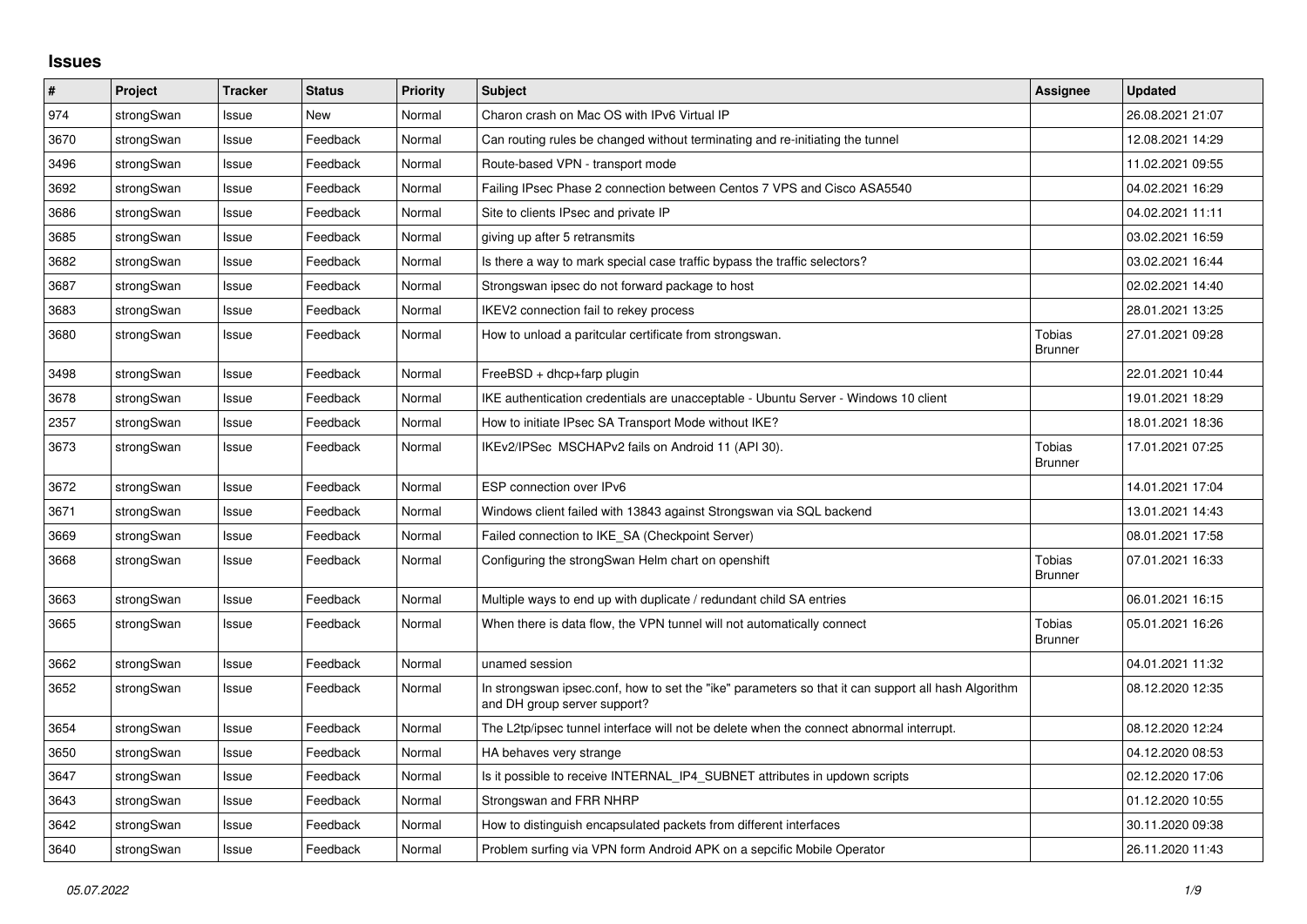## **Issues**

| #    | Project    | <b>Tracker</b> | <b>Status</b> | <b>Priority</b> | <b>Subject</b>                                                                                                                      | <b>Assignee</b>                 | <b>Updated</b>   |
|------|------------|----------------|---------------|-----------------|-------------------------------------------------------------------------------------------------------------------------------------|---------------------------------|------------------|
| 974  | strongSwan | Issue          | <b>New</b>    | Normal          | Charon crash on Mac OS with IPv6 Virtual IP                                                                                         |                                 | 26.08.2021 21:07 |
| 3670 | strongSwan | Issue          | Feedback      | Normal          | Can routing rules be changed without terminating and re-initiating the tunnel                                                       |                                 | 12.08.2021 14:29 |
| 3496 | strongSwan | Issue          | Feedback      | Normal          | Route-based VPN - transport mode                                                                                                    |                                 | 11.02.2021 09:55 |
| 3692 | strongSwan | Issue          | Feedback      | Normal          | Failing IPsec Phase 2 connection between Centos 7 VPS and Cisco ASA5540                                                             |                                 | 04.02.2021 16:29 |
| 3686 | strongSwan | Issue          | Feedback      | Normal          | Site to clients IPsec and private IP                                                                                                |                                 | 04.02.2021 11:11 |
| 3685 | strongSwan | Issue          | Feedback      | Normal          | giving up after 5 retransmits                                                                                                       |                                 | 03.02.2021 16:59 |
| 3682 | strongSwan | Issue          | Feedback      | Normal          | Is there a way to mark special case traffic bypass the traffic selectors?                                                           |                                 | 03.02.2021 16:44 |
| 3687 | strongSwan | Issue          | Feedback      | Normal          | Strongswan ipsec do not forward package to host                                                                                     |                                 | 02.02.2021 14:40 |
| 3683 | strongSwan | Issue          | Feedback      | Normal          | IKEV2 connection fail to rekey process                                                                                              |                                 | 28.01.2021 13:25 |
| 3680 | strongSwan | Issue          | Feedback      | Normal          | How to unload a paritcular certificate from strongswan.                                                                             | Tobias<br><b>Brunner</b>        | 27.01.2021 09:28 |
| 3498 | strongSwan | Issue          | Feedback      | Normal          | $FreeBSD + dhop + farp plugin$                                                                                                      |                                 | 22.01.2021 10:44 |
| 3678 | strongSwan | Issue          | Feedback      | Normal          | IKE authentication credentials are unacceptable - Ubuntu Server - Windows 10 client                                                 |                                 | 19.01.2021 18:29 |
| 2357 | strongSwan | Issue          | Feedback      | Normal          | How to initiate IPsec SA Transport Mode without IKE?                                                                                |                                 | 18.01.2021 18:36 |
| 3673 | strongSwan | Issue          | Feedback      | Normal          | IKEv2/IPSec MSCHAPv2 fails on Android 11 (API 30).                                                                                  | <b>Tobias</b><br><b>Brunner</b> | 17.01.2021 07:25 |
| 3672 | strongSwan | Issue          | Feedback      | Normal          | ESP connection over IPv6                                                                                                            |                                 | 14.01.2021 17:04 |
| 3671 | strongSwan | Issue          | Feedback      | Normal          | Windows client failed with 13843 against Strongswan via SQL backend                                                                 |                                 | 13.01.2021 14:43 |
| 3669 | strongSwan | Issue          | Feedback      | Normal          | Failed connection to IKE SA (Checkpoint Server)                                                                                     |                                 | 08.01.2021 17:58 |
| 3668 | strongSwan | Issue          | Feedback      | Normal          | Configuring the strongSwan Helm chart on openshift                                                                                  | <b>Tobias</b><br><b>Brunner</b> | 07.01.2021 16:33 |
| 3663 | strongSwan | Issue          | Feedback      | Normal          | Multiple ways to end up with duplicate / redundant child SA entries                                                                 |                                 | 06.01.2021 16:15 |
| 3665 | strongSwan | Issue          | Feedback      | Normal          | When there is data flow, the VPN tunnel will not automatically connect                                                              | Tobias<br><b>Brunner</b>        | 05.01.2021 16:26 |
| 3662 | strongSwan | Issue          | Feedback      | Normal          | unamed session                                                                                                                      |                                 | 04.01.2021 11:32 |
| 3652 | strongSwan | Issue          | Feedback      | Normal          | In strongswan ipsec.conf, how to set the "ike" parameters so that it can support all hash Algorithm<br>and DH group server support? |                                 | 08.12.2020 12:35 |
| 3654 | strongSwan | Issue          | Feedback      | Normal          | The L2tp/ipsec tunnel interface will not be delete when the connect abnormal interrupt.                                             |                                 | 08.12.2020 12:24 |
| 3650 | strongSwan | Issue          | Feedback      | Normal          | HA behaves very strange                                                                                                             |                                 | 04.12.2020 08:53 |
| 3647 | strongSwan | Issue          | Feedback      | Normal          | Is it possible to receive INTERNAL_IP4_SUBNET attributes in updown scripts                                                          |                                 | 02.12.2020 17:06 |
| 3643 | strongSwan | Issue          | Feedback      | Normal          | Strongswan and FRR NHRP                                                                                                             |                                 | 01.12.2020 10:55 |
| 3642 | strongSwan | Issue          | Feedback      | Normal          | How to distinguish encapsulated packets from different interfaces                                                                   |                                 | 30.11.2020 09:38 |
| 3640 | strongSwan | Issue          | Feedback      | Normal          | Problem surfing via VPN form Android APK on a sepcific Mobile Operator                                                              |                                 | 26.11.2020 11:43 |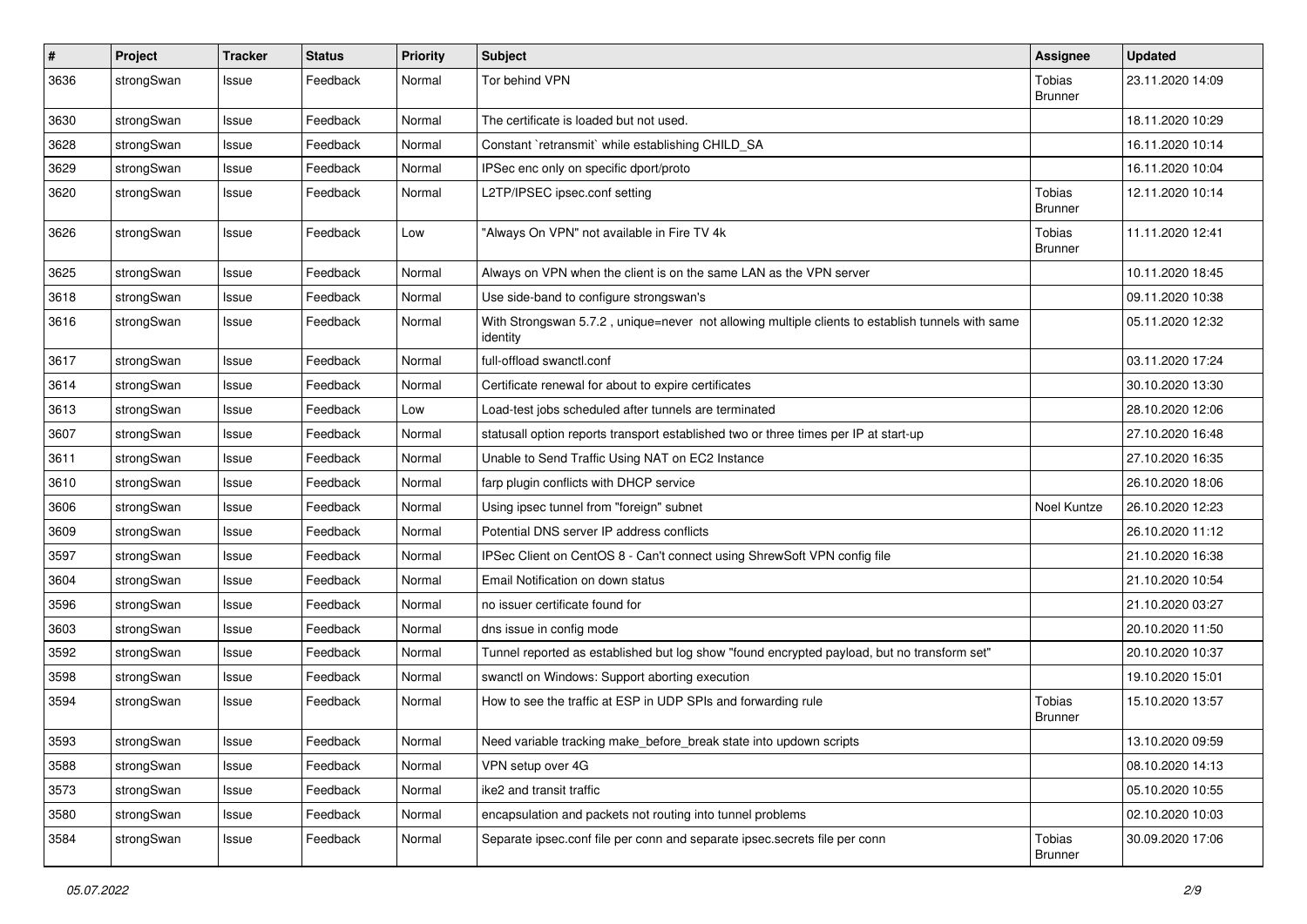| $\pmb{\#}$ | Project    | <b>Tracker</b> | <b>Status</b> | <b>Priority</b> | <b>Subject</b>                                                                                               | <b>Assignee</b>                 | <b>Updated</b>   |
|------------|------------|----------------|---------------|-----------------|--------------------------------------------------------------------------------------------------------------|---------------------------------|------------------|
| 3636       | strongSwan | Issue          | Feedback      | Normal          | Tor behind VPN                                                                                               | Tobias<br><b>Brunner</b>        | 23.11.2020 14:09 |
| 3630       | strongSwan | Issue          | Feedback      | Normal          | The certificate is loaded but not used.                                                                      |                                 | 18.11.2020 10:29 |
| 3628       | strongSwan | Issue          | Feedback      | Normal          | Constant `retransmit` while establishing CHILD SA                                                            |                                 | 16.11.2020 10:14 |
| 3629       | strongSwan | Issue          | Feedback      | Normal          | IPSec enc only on specific dport/proto                                                                       |                                 | 16.11.2020 10:04 |
| 3620       | strongSwan | Issue          | Feedback      | Normal          | L2TP/IPSEC ipsec.conf setting                                                                                | <b>Tobias</b><br><b>Brunner</b> | 12.11.2020 10:14 |
| 3626       | strongSwan | Issue          | Feedback      | Low             | "Always On VPN" not available in Fire TV 4k                                                                  | <b>Tobias</b><br><b>Brunner</b> | 11.11.2020 12:41 |
| 3625       | strongSwan | Issue          | Feedback      | Normal          | Always on VPN when the client is on the same LAN as the VPN server                                           |                                 | 10.11.2020 18:45 |
| 3618       | strongSwan | Issue          | Feedback      | Normal          | Use side-band to configure strongswan's                                                                      |                                 | 09.11.2020 10:38 |
| 3616       | strongSwan | Issue          | Feedback      | Normal          | With Strongswan 5.7.2, unique=never not allowing multiple clients to establish tunnels with same<br>identity |                                 | 05.11.2020 12:32 |
| 3617       | strongSwan | Issue          | Feedback      | Normal          | full-offload swanctl.conf                                                                                    |                                 | 03.11.2020 17:24 |
| 3614       | strongSwan | Issue          | Feedback      | Normal          | Certificate renewal for about to expire certificates                                                         |                                 | 30.10.2020 13:30 |
| 3613       | strongSwan | Issue          | Feedback      | Low             | Load-test jobs scheduled after tunnels are terminated                                                        |                                 | 28.10.2020 12:06 |
| 3607       | strongSwan | Issue          | Feedback      | Normal          | statusall option reports transport established two or three times per IP at start-up                         |                                 | 27.10.2020 16:48 |
| 3611       | strongSwan | Issue          | Feedback      | Normal          | Unable to Send Traffic Using NAT on EC2 Instance                                                             |                                 | 27.10.2020 16:35 |
| 3610       | strongSwan | Issue          | Feedback      | Normal          | farp plugin conflicts with DHCP service                                                                      |                                 | 26.10.2020 18:06 |
| 3606       | strongSwan | Issue          | Feedback      | Normal          | Using ipsec tunnel from "foreign" subnet                                                                     | Noel Kuntze                     | 26.10.2020 12:23 |
| 3609       | strongSwan | Issue          | Feedback      | Normal          | Potential DNS server IP address conflicts                                                                    |                                 | 26.10.2020 11:12 |
| 3597       | strongSwan | Issue          | Feedback      | Normal          | IPSec Client on CentOS 8 - Can't connect using ShrewSoft VPN config file                                     |                                 | 21.10.2020 16:38 |
| 3604       | strongSwan | Issue          | Feedback      | Normal          | Email Notification on down status                                                                            |                                 | 21.10.2020 10:54 |
| 3596       | strongSwan | Issue          | Feedback      | Normal          | no issuer certificate found for                                                                              |                                 | 21.10.2020 03:27 |
| 3603       | strongSwan | Issue          | Feedback      | Normal          | dns issue in config mode                                                                                     |                                 | 20.10.2020 11:50 |
| 3592       | strongSwan | Issue          | Feedback      | Normal          | Tunnel reported as established but log show "found encrypted payload, but no transform set"                  |                                 | 20.10.2020 10:37 |
| 3598       | strongSwan | Issue          | Feedback      | Normal          | swanctl on Windows: Support aborting execution                                                               |                                 | 19.10.2020 15:01 |
| 3594       | strongSwan | Issue          | Feedback      | Normal          | How to see the traffic at ESP in UDP SPIs and forwarding rule                                                | Tobias<br>Brunner               | 15.10.2020 13:57 |
| 3593       | strongSwan | Issue          | Feedback      | Normal          | Need variable tracking make_before_break state into updown scripts                                           |                                 | 13.10.2020 09:59 |
| 3588       | strongSwan | Issue          | Feedback      | Normal          | VPN setup over 4G                                                                                            |                                 | 08.10.2020 14:13 |
| 3573       | strongSwan | Issue          | Feedback      | Normal          | ike2 and transit traffic                                                                                     |                                 | 05.10.2020 10:55 |
| 3580       | strongSwan | Issue          | Feedback      | Normal          | encapsulation and packets not routing into tunnel problems                                                   |                                 | 02.10.2020 10:03 |
| 3584       | strongSwan | Issue          | Feedback      | Normal          | Separate ipsec.conf file per conn and separate ipsec.secrets file per conn                                   | Tobias<br><b>Brunner</b>        | 30.09.2020 17:06 |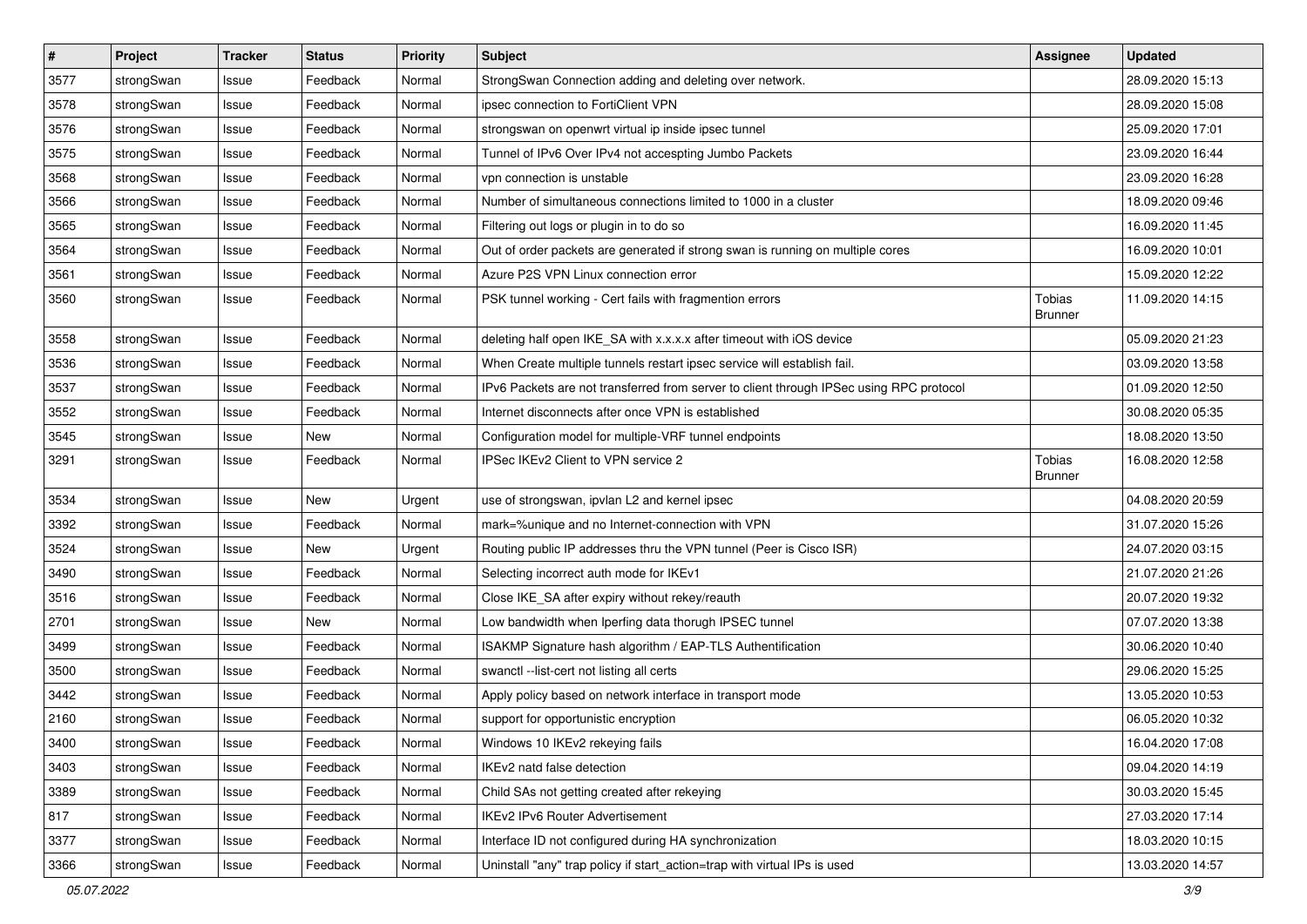| $\pmb{\#}$ | Project    | <b>Tracker</b> | <b>Status</b> | <b>Priority</b> | <b>Subject</b>                                                                          | Assignee                        | <b>Updated</b>   |
|------------|------------|----------------|---------------|-----------------|-----------------------------------------------------------------------------------------|---------------------------------|------------------|
| 3577       | strongSwan | Issue          | Feedback      | Normal          | StrongSwan Connection adding and deleting over network.                                 |                                 | 28.09.2020 15:13 |
| 3578       | strongSwan | Issue          | Feedback      | Normal          | ipsec connection to FortiClient VPN                                                     |                                 | 28.09.2020 15:08 |
| 3576       | strongSwan | Issue          | Feedback      | Normal          | strongswan on openwrt virtual ip inside ipsec tunnel                                    |                                 | 25.09.2020 17:01 |
| 3575       | strongSwan | Issue          | Feedback      | Normal          | Tunnel of IPv6 Over IPv4 not accespting Jumbo Packets                                   |                                 | 23.09.2020 16:44 |
| 3568       | strongSwan | Issue          | Feedback      | Normal          | vpn connection is unstable                                                              |                                 | 23.09.2020 16:28 |
| 3566       | strongSwan | Issue          | Feedback      | Normal          | Number of simultaneous connections limited to 1000 in a cluster                         |                                 | 18.09.2020 09:46 |
| 3565       | strongSwan | Issue          | Feedback      | Normal          | Filtering out logs or plugin in to do so                                                |                                 | 16.09.2020 11:45 |
| 3564       | strongSwan | Issue          | Feedback      | Normal          | Out of order packets are generated if strong swan is running on multiple cores          |                                 | 16.09.2020 10:01 |
| 3561       | strongSwan | Issue          | Feedback      | Normal          | Azure P2S VPN Linux connection error                                                    |                                 | 15.09.2020 12:22 |
| 3560       | strongSwan | Issue          | Feedback      | Normal          | PSK tunnel working - Cert fails with fragmention errors                                 | <b>Tobias</b><br><b>Brunner</b> | 11.09.2020 14:15 |
| 3558       | strongSwan | Issue          | Feedback      | Normal          | deleting half open IKE_SA with x.x.x.x after timeout with iOS device                    |                                 | 05.09.2020 21:23 |
| 3536       | strongSwan | Issue          | Feedback      | Normal          | When Create multiple tunnels restart ipsec service will establish fail.                 |                                 | 03.09.2020 13:58 |
| 3537       | strongSwan | Issue          | Feedback      | Normal          | IPv6 Packets are not transferred from server to client through IPSec using RPC protocol |                                 | 01.09.2020 12:50 |
| 3552       | strongSwan | Issue          | Feedback      | Normal          | Internet disconnects after once VPN is established                                      |                                 | 30.08.2020 05:35 |
| 3545       | strongSwan | Issue          | New           | Normal          | Configuration model for multiple-VRF tunnel endpoints                                   |                                 | 18.08.2020 13:50 |
| 3291       | strongSwan | Issue          | Feedback      | Normal          | IPSec IKEv2 Client to VPN service 2                                                     | Tobias<br><b>Brunner</b>        | 16.08.2020 12:58 |
| 3534       | strongSwan | Issue          | New           | Urgent          | use of strongswan, ipvlan L2 and kernel ipsec                                           |                                 | 04.08.2020 20:59 |
| 3392       | strongSwan | Issue          | Feedback      | Normal          | mark=%unique and no Internet-connection with VPN                                        |                                 | 31.07.2020 15:26 |
| 3524       | strongSwan | Issue          | <b>New</b>    | Urgent          | Routing public IP addresses thru the VPN tunnel (Peer is Cisco ISR)                     |                                 | 24.07.2020 03:15 |
| 3490       | strongSwan | Issue          | Feedback      | Normal          | Selecting incorrect auth mode for IKEv1                                                 |                                 | 21.07.2020 21:26 |
| 3516       | strongSwan | Issue          | Feedback      | Normal          | Close IKE_SA after expiry without rekey/reauth                                          |                                 | 20.07.2020 19:32 |
| 2701       | strongSwan | Issue          | New           | Normal          | Low bandwidth when Iperfing data thorugh IPSEC tunnel                                   |                                 | 07.07.2020 13:38 |
| 3499       | strongSwan | Issue          | Feedback      | Normal          | ISAKMP Signature hash algorithm / EAP-TLS Authentification                              |                                 | 30.06.2020 10:40 |
| 3500       | strongSwan | Issue          | Feedback      | Normal          | swanctl --list-cert not listing all certs                                               |                                 | 29.06.2020 15:25 |
| 3442       | strongSwan | Issue          | Feedback      | Normal          | Apply policy based on network interface in transport mode                               |                                 | 13.05.2020 10:53 |
| 2160       | strongSwan | Issue          | Feedback      | Normal          | support for opportunistic encryption                                                    |                                 | 06.05.2020 10:32 |
| 3400       | strongSwan | Issue          | Feedback      | Normal          | Windows 10 IKEv2 rekeying fails                                                         |                                 | 16.04.2020 17:08 |
| 3403       | strongSwan | Issue          | Feedback      | Normal          | IKEv2 natd false detection                                                              |                                 | 09.04.2020 14:19 |
| 3389       | strongSwan | Issue          | Feedback      | Normal          | Child SAs not getting created after rekeying                                            |                                 | 30.03.2020 15:45 |
| 817        | strongSwan | Issue          | Feedback      | Normal          | IKEv2 IPv6 Router Advertisement                                                         |                                 | 27.03.2020 17:14 |
| 3377       | strongSwan | Issue          | Feedback      | Normal          | Interface ID not configured during HA synchronization                                   |                                 | 18.03.2020 10:15 |
| 3366       | strongSwan | Issue          | Feedback      | Normal          | Uninstall "any" trap policy if start_action=trap with virtual IPs is used               |                                 | 13.03.2020 14:57 |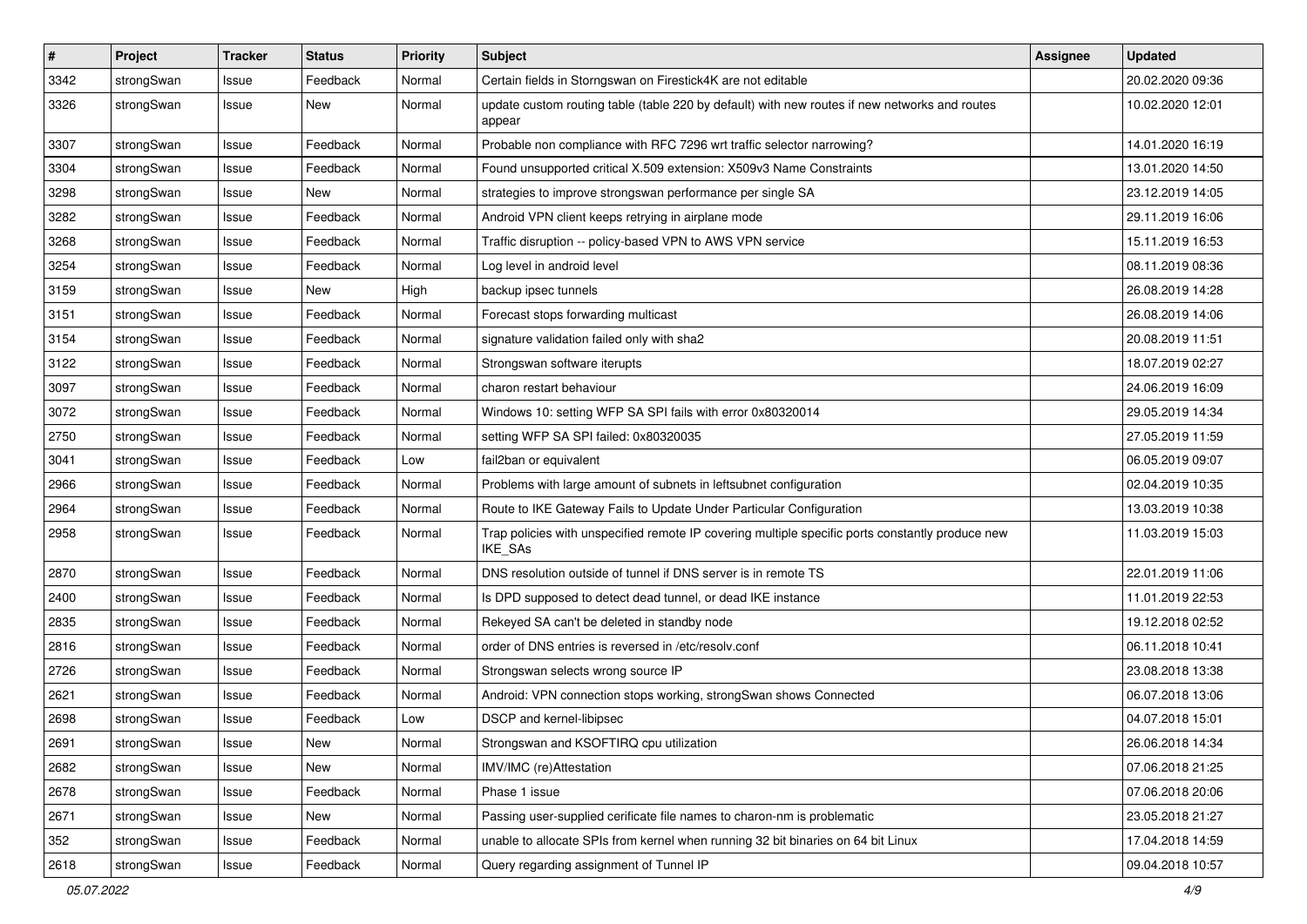| $\pmb{\#}$ | Project    | <b>Tracker</b> | <b>Status</b> | <b>Priority</b> | <b>Subject</b>                                                                                              | Assignee | <b>Updated</b>   |
|------------|------------|----------------|---------------|-----------------|-------------------------------------------------------------------------------------------------------------|----------|------------------|
| 3342       | strongSwan | Issue          | Feedback      | Normal          | Certain fields in Storngswan on Firestick4K are not editable                                                |          | 20.02.2020 09:36 |
| 3326       | strongSwan | Issue          | New           | Normal          | update custom routing table (table 220 by default) with new routes if new networks and routes<br>appear     |          | 10.02.2020 12:01 |
| 3307       | strongSwan | Issue          | Feedback      | Normal          | Probable non compliance with RFC 7296 wrt traffic selector narrowing?                                       |          | 14.01.2020 16:19 |
| 3304       | strongSwan | Issue          | Feedback      | Normal          | Found unsupported critical X.509 extension: X509v3 Name Constraints                                         |          | 13.01.2020 14:50 |
| 3298       | strongSwan | Issue          | New           | Normal          | strategies to improve strongswan performance per single SA                                                  |          | 23.12.2019 14:05 |
| 3282       | strongSwan | Issue          | Feedback      | Normal          | Android VPN client keeps retrying in airplane mode                                                          |          | 29.11.2019 16:06 |
| 3268       | strongSwan | Issue          | Feedback      | Normal          | Traffic disruption -- policy-based VPN to AWS VPN service                                                   |          | 15.11.2019 16:53 |
| 3254       | strongSwan | lssue          | Feedback      | Normal          | Log level in android level                                                                                  |          | 08.11.2019 08:36 |
| 3159       | strongSwan | Issue          | <b>New</b>    | High            | backup ipsec tunnels                                                                                        |          | 26.08.2019 14:28 |
| 3151       | strongSwan | Issue          | Feedback      | Normal          | Forecast stops forwarding multicast                                                                         |          | 26.08.2019 14:06 |
| 3154       | strongSwan | Issue          | Feedback      | Normal          | signature validation failed only with sha2                                                                  |          | 20.08.2019 11:51 |
| 3122       | strongSwan | Issue          | Feedback      | Normal          | Strongswan software iterupts                                                                                |          | 18.07.2019 02:27 |
| 3097       | strongSwan | Issue          | Feedback      | Normal          | charon restart behaviour                                                                                    |          | 24.06.2019 16:09 |
| 3072       | strongSwan | Issue          | Feedback      | Normal          | Windows 10: setting WFP SA SPI fails with error 0x80320014                                                  |          | 29.05.2019 14:34 |
| 2750       | strongSwan | Issue          | Feedback      | Normal          | setting WFP SA SPI failed: 0x80320035                                                                       |          | 27.05.2019 11:59 |
| 3041       | strongSwan | Issue          | Feedback      | Low             | fail2ban or equivalent                                                                                      |          | 06.05.2019 09:07 |
| 2966       | strongSwan | lssue          | Feedback      | Normal          | Problems with large amount of subnets in leftsubnet configuration                                           |          | 02.04.2019 10:35 |
| 2964       | strongSwan | Issue          | Feedback      | Normal          | Route to IKE Gateway Fails to Update Under Particular Configuration                                         |          | 13.03.2019 10:38 |
| 2958       | strongSwan | Issue          | Feedback      | Normal          | Trap policies with unspecified remote IP covering multiple specific ports constantly produce new<br>IKE_SAs |          | 11.03.2019 15:03 |
| 2870       | strongSwan | lssue          | Feedback      | Normal          | DNS resolution outside of tunnel if DNS server is in remote TS                                              |          | 22.01.2019 11:06 |
| 2400       | strongSwan | Issue          | Feedback      | Normal          | Is DPD supposed to detect dead tunnel, or dead IKE instance                                                 |          | 11.01.2019 22:53 |
| 2835       | strongSwan | Issue          | Feedback      | Normal          | Rekeyed SA can't be deleted in standby node                                                                 |          | 19.12.2018 02:52 |
| 2816       | strongSwan | Issue          | Feedback      | Normal          | order of DNS entries is reversed in /etc/resolv.conf                                                        |          | 06.11.2018 10:41 |
| 2726       | strongSwan | lssue          | Feedback      | Normal          | Strongswan selects wrong source IP                                                                          |          | 23.08.2018 13:38 |
| 2621       | strongSwan | Issue          | Feedback      | Normal          | Android: VPN connection stops working, strongSwan shows Connected                                           |          | 06.07.2018 13:06 |
| 2698       | strongSwan | Issue          | Feedback      | Low             | DSCP and kernel-libipsec                                                                                    |          | 04.07.2018 15:01 |
| 2691       | strongSwan | Issue          | New           | Normal          | Strongswan and KSOFTIRQ cpu utilization                                                                     |          | 26.06.2018 14:34 |
| 2682       | strongSwan | Issue          | New           | Normal          | IMV/IMC (re)Attestation                                                                                     |          | 07.06.2018 21:25 |
| 2678       | strongSwan | Issue          | Feedback      | Normal          | Phase 1 issue                                                                                               |          | 07.06.2018 20:06 |
| 2671       | strongSwan | Issue          | New           | Normal          | Passing user-supplied cerificate file names to charon-nm is problematic                                     |          | 23.05.2018 21:27 |
| 352        | strongSwan | Issue          | Feedback      | Normal          | unable to allocate SPIs from kernel when running 32 bit binaries on 64 bit Linux                            |          | 17.04.2018 14:59 |
| 2618       | strongSwan | Issue          | Feedback      | Normal          | Query regarding assignment of Tunnel IP                                                                     |          | 09.04.2018 10:57 |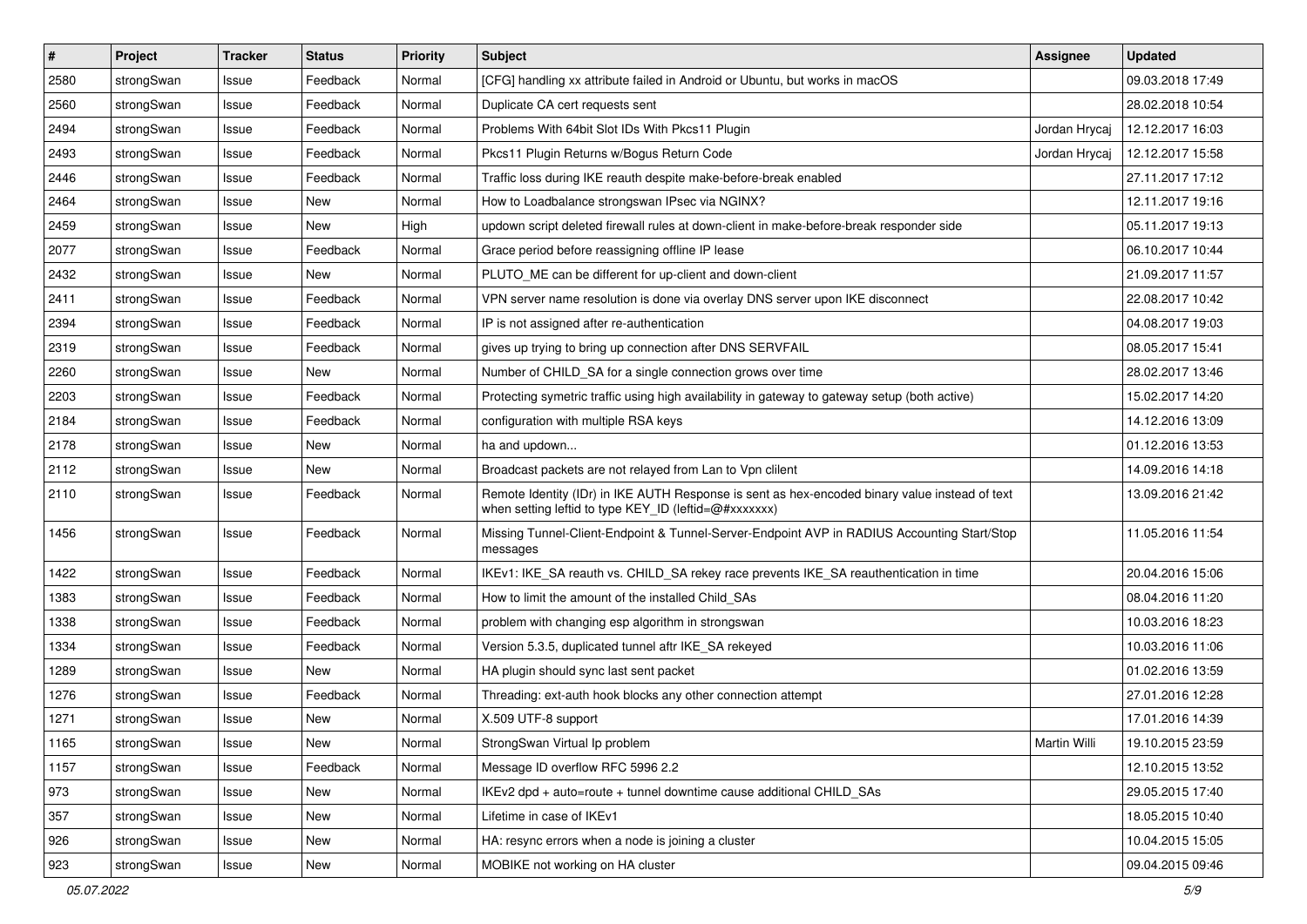| #    | Project    | <b>Tracker</b> | <b>Status</b> | <b>Priority</b> | <b>Subject</b>                                                                                                                                          | Assignee      | <b>Updated</b>   |
|------|------------|----------------|---------------|-----------------|---------------------------------------------------------------------------------------------------------------------------------------------------------|---------------|------------------|
| 2580 | strongSwan | Issue          | Feedback      | Normal          | [CFG] handling xx attribute failed in Android or Ubuntu, but works in macOS                                                                             |               | 09.03.2018 17:49 |
| 2560 | strongSwan | Issue          | Feedback      | Normal          | Duplicate CA cert requests sent                                                                                                                         |               | 28.02.2018 10:54 |
| 2494 | strongSwan | Issue          | Feedback      | Normal          | Problems With 64bit Slot IDs With Pkcs11 Plugin                                                                                                         | Jordan Hrycaj | 12.12.2017 16:03 |
| 2493 | strongSwan | Issue          | Feedback      | Normal          | Pkcs11 Plugin Returns w/Bogus Return Code                                                                                                               | Jordan Hrycaj | 12.12.2017 15:58 |
| 2446 | strongSwan | Issue          | Feedback      | Normal          | Traffic loss during IKE reauth despite make-before-break enabled                                                                                        |               | 27.11.2017 17:12 |
| 2464 | strongSwan | Issue          | <b>New</b>    | Normal          | How to Loadbalance strongswan IPsec via NGINX?                                                                                                          |               | 12.11.2017 19:16 |
| 2459 | strongSwan | Issue          | New           | High            | updown script deleted firewall rules at down-client in make-before-break responder side                                                                 |               | 05.11.2017 19:13 |
| 2077 | strongSwan | Issue          | Feedback      | Normal          | Grace period before reassigning offline IP lease                                                                                                        |               | 06.10.2017 10:44 |
| 2432 | strongSwan | Issue          | <b>New</b>    | Normal          | PLUTO_ME can be different for up-client and down-client                                                                                                 |               | 21.09.2017 11:57 |
| 2411 | strongSwan | Issue          | Feedback      | Normal          | VPN server name resolution is done via overlay DNS server upon IKE disconnect                                                                           |               | 22.08.2017 10:42 |
| 2394 | strongSwan | Issue          | Feedback      | Normal          | IP is not assigned after re-authentication                                                                                                              |               | 04.08.2017 19:03 |
| 2319 | strongSwan | Issue          | Feedback      | Normal          | gives up trying to bring up connection after DNS SERVFAIL                                                                                               |               | 08.05.2017 15:41 |
| 2260 | strongSwan | Issue          | <b>New</b>    | Normal          | Number of CHILD_SA for a single connection grows over time                                                                                              |               | 28.02.2017 13:46 |
| 2203 | strongSwan | Issue          | Feedback      | Normal          | Protecting symetric traffic using high availability in gateway to gateway setup (both active)                                                           |               | 15.02.2017 14:20 |
| 2184 | strongSwan | Issue          | Feedback      | Normal          | configuration with multiple RSA keys                                                                                                                    |               | 14.12.2016 13:09 |
| 2178 | strongSwan | Issue          | New           | Normal          | ha and updown                                                                                                                                           |               | 01.12.2016 13:53 |
| 2112 | strongSwan | Issue          | New           | Normal          | Broadcast packets are not relayed from Lan to Vpn clilent                                                                                               |               | 14.09.2016 14:18 |
| 2110 | strongSwan | Issue          | Feedback      | Normal          | Remote Identity (IDr) in IKE AUTH Response is sent as hex-encoded binary value instead of text<br>when setting leftid to type KEY_ID (leftid=@#xxxxxxx) |               | 13.09.2016 21:42 |
| 1456 | strongSwan | Issue          | Feedback      | Normal          | Missing Tunnel-Client-Endpoint & Tunnel-Server-Endpoint AVP in RADIUS Accounting Start/Stop<br>messages                                                 |               | 11.05.2016 11:54 |
| 1422 | strongSwan | Issue          | Feedback      | Normal          | IKEv1: IKE_SA reauth vs. CHILD_SA rekey race prevents IKE_SA reauthentication in time                                                                   |               | 20.04.2016 15:06 |
| 1383 | strongSwan | Issue          | Feedback      | Normal          | How to limit the amount of the installed Child SAs                                                                                                      |               | 08.04.2016 11:20 |
| 1338 | strongSwan | Issue          | Feedback      | Normal          | problem with changing esp algorithm in strongswan                                                                                                       |               | 10.03.2016 18:23 |
| 1334 | strongSwan | Issue          | Feedback      | Normal          | Version 5.3.5, duplicated tunnel aftr IKE_SA rekeyed                                                                                                    |               | 10.03.2016 11:06 |
| 1289 | strongSwan | Issue          | New           | Normal          | HA plugin should sync last sent packet                                                                                                                  |               | 01.02.2016 13:59 |
| 1276 | strongSwan | Issue          | Feedback      | Normal          | Threading: ext-auth hook blocks any other connection attempt                                                                                            |               | 27.01.2016 12:28 |
| 1271 | strongSwan | Issue          | New           | Normal          | X.509 UTF-8 support                                                                                                                                     |               | 17.01.2016 14:39 |
| 1165 | strongSwan | Issue          | New           | Normal          | StrongSwan Virtual Ip problem                                                                                                                           | Martin Willi  | 19.10.2015 23:59 |
| 1157 | strongSwan | Issue          | Feedback      | Normal          | Message ID overflow RFC 5996 2.2                                                                                                                        |               | 12.10.2015 13:52 |
| 973  | strongSwan | Issue          | <b>New</b>    | Normal          | IKEv2 dpd + auto=route + tunnel downtime cause additional CHILD_SAs                                                                                     |               | 29.05.2015 17:40 |
| 357  | strongSwan | Issue          | New           | Normal          | Lifetime in case of IKEv1                                                                                                                               |               | 18.05.2015 10:40 |
| 926  | strongSwan | Issue          | New           | Normal          | HA: resync errors when a node is joining a cluster                                                                                                      |               | 10.04.2015 15:05 |
| 923  | strongSwan | Issue          | New           | Normal          | MOBIKE not working on HA cluster                                                                                                                        |               | 09.04.2015 09:46 |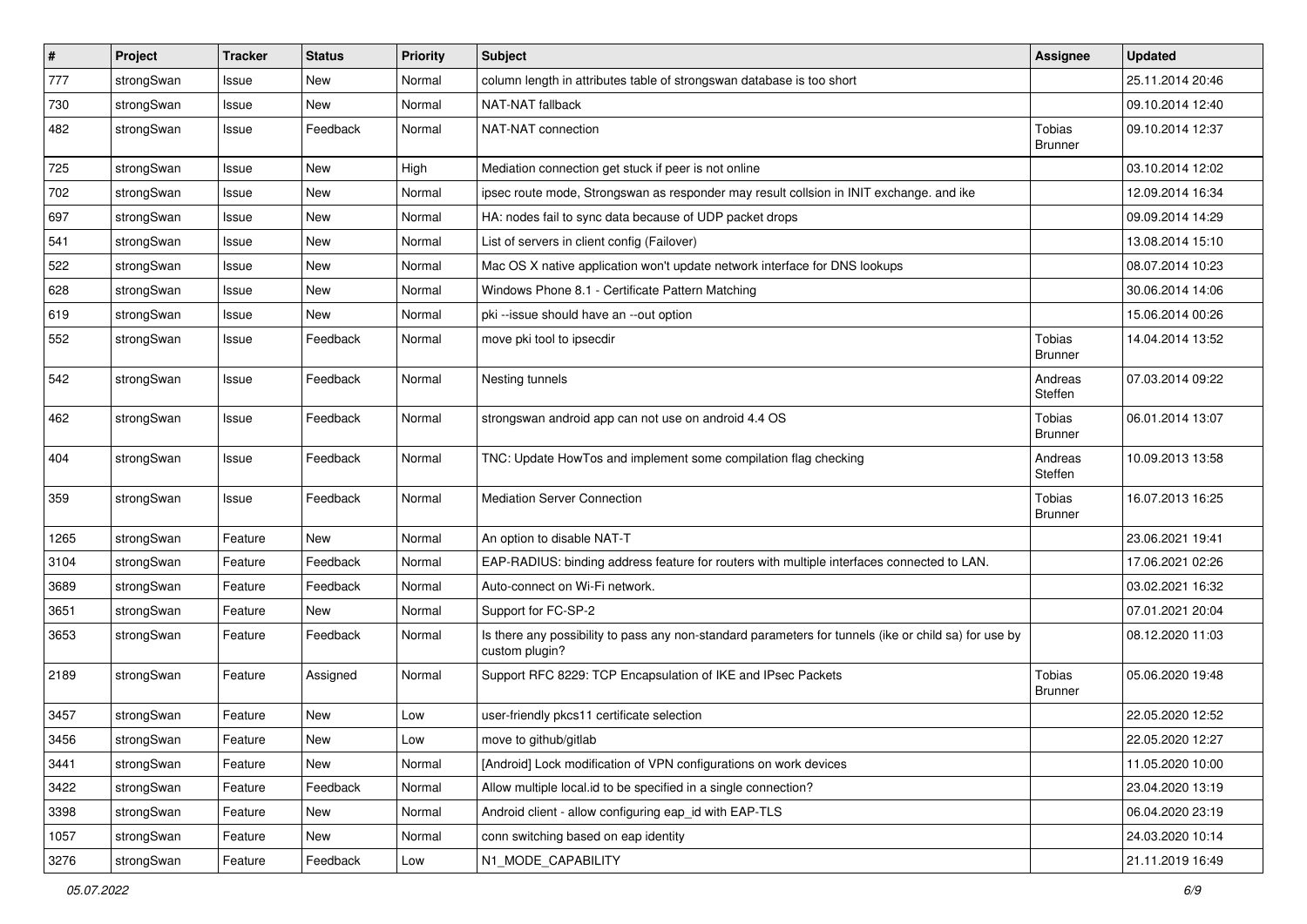| $\sharp$ | Project    | <b>Tracker</b> | <b>Status</b> | <b>Priority</b> | <b>Subject</b>                                                                                                          | <b>Assignee</b>          | <b>Updated</b>   |
|----------|------------|----------------|---------------|-----------------|-------------------------------------------------------------------------------------------------------------------------|--------------------------|------------------|
| 777      | strongSwan | Issue          | New           | Normal          | column length in attributes table of strongswan database is too short                                                   |                          | 25.11.2014 20:46 |
| 730      | strongSwan | Issue          | New           | Normal          | NAT-NAT fallback                                                                                                        |                          | 09.10.2014 12:40 |
| 482      | strongSwan | Issue          | Feedback      | Normal          | NAT-NAT connection                                                                                                      | Tobias<br><b>Brunner</b> | 09.10.2014 12:37 |
| 725      | strongSwan | Issue          | New           | High            | Mediation connection get stuck if peer is not online                                                                    |                          | 03.10.2014 12:02 |
| 702      | strongSwan | Issue          | New           | Normal          | ipsec route mode, Strongswan as responder may result collsion in INIT exchange. and ike                                 |                          | 12.09.2014 16:34 |
| 697      | strongSwan | Issue          | New           | Normal          | HA: nodes fail to sync data because of UDP packet drops                                                                 |                          | 09.09.2014 14:29 |
| 541      | strongSwan | Issue          | <b>New</b>    | Normal          | List of servers in client config (Failover)                                                                             |                          | 13.08.2014 15:10 |
| 522      | strongSwan | Issue          | New           | Normal          | Mac OS X native application won't update network interface for DNS lookups                                              |                          | 08.07.2014 10:23 |
| 628      | strongSwan | Issue          | New           | Normal          | Windows Phone 8.1 - Certificate Pattern Matching                                                                        |                          | 30.06.2014 14:06 |
| 619      | strongSwan | Issue          | New           | Normal          | pki --issue should have an --out option                                                                                 |                          | 15.06.2014 00:26 |
| 552      | strongSwan | Issue          | Feedback      | Normal          | move pki tool to ipsecdir                                                                                               | Tobias<br><b>Brunner</b> | 14.04.2014 13:52 |
| 542      | strongSwan | Issue          | Feedback      | Normal          | Nesting tunnels                                                                                                         | Andreas<br>Steffen       | 07.03.2014 09:22 |
| 462      | strongSwan | Issue          | Feedback      | Normal          | strongswan android app can not use on android 4.4 OS                                                                    | Tobias<br><b>Brunner</b> | 06.01.2014 13:07 |
| 404      | strongSwan | Issue          | Feedback      | Normal          | TNC: Update HowTos and implement some compilation flag checking                                                         | Andreas<br>Steffen       | 10.09.2013 13:58 |
| 359      | strongSwan | Issue          | Feedback      | Normal          | <b>Mediation Server Connection</b>                                                                                      | Tobias<br><b>Brunner</b> | 16.07.2013 16:25 |
| 1265     | strongSwan | Feature        | New           | Normal          | An option to disable NAT-T                                                                                              |                          | 23.06.2021 19:41 |
| 3104     | strongSwan | Feature        | Feedback      | Normal          | EAP-RADIUS: binding address feature for routers with multiple interfaces connected to LAN.                              |                          | 17.06.2021 02:26 |
| 3689     | strongSwan | Feature        | Feedback      | Normal          | Auto-connect on Wi-Fi network.                                                                                          |                          | 03.02.2021 16:32 |
| 3651     | strongSwan | Feature        | New           | Normal          | Support for FC-SP-2                                                                                                     |                          | 07.01.2021 20:04 |
| 3653     | strongSwan | Feature        | Feedback      | Normal          | Is there any possibility to pass any non-standard parameters for tunnels (ike or child sa) for use by<br>custom plugin? |                          | 08.12.2020 11:03 |
| 2189     | strongSwan | Feature        | Assigned      | Normal          | Support RFC 8229: TCP Encapsulation of IKE and IPsec Packets                                                            | Tobias<br><b>Brunner</b> | 05.06.2020 19:48 |
| 3457     | strongSwan | Feature        | New           | Low             | user-friendly pkcs11 certificate selection                                                                              |                          | 22.05.2020 12:52 |
| 3456     | strongSwan | Feature        | New           | LOW             | move to github/gitlab                                                                                                   |                          | 22.05.2020 12:27 |
| 3441     | strongSwan | Feature        | New           | Normal          | [Android] Lock modification of VPN configurations on work devices                                                       |                          | 11.05.2020 10:00 |
| 3422     | strongSwan | Feature        | Feedback      | Normal          | Allow multiple local id to be specified in a single connection?                                                         |                          | 23.04.2020 13:19 |
| 3398     | strongSwan | Feature        | New           | Normal          | Android client - allow configuring eap_id with EAP-TLS                                                                  |                          | 06.04.2020 23:19 |
| 1057     | strongSwan | Feature        | New           | Normal          | conn switching based on eap identity                                                                                    |                          | 24.03.2020 10:14 |
| 3276     | strongSwan | Feature        | Feedback      | Low             | N1_MODE_CAPABILITY                                                                                                      |                          | 21.11.2019 16:49 |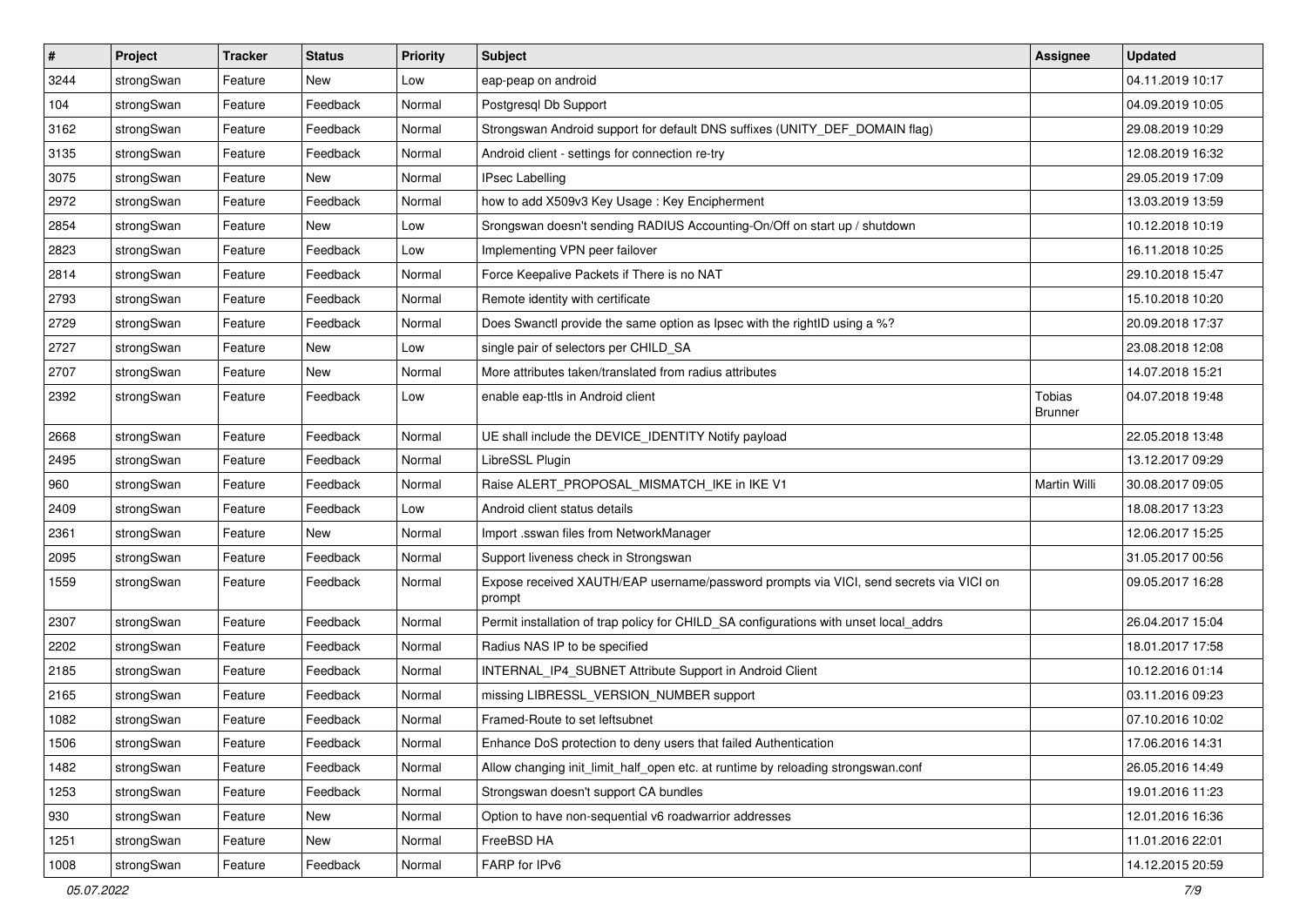| $\vert$ # | Project    | <b>Tracker</b> | <b>Status</b> | <b>Priority</b> | Subject                                                                                          | <b>Assignee</b>                 | <b>Updated</b>   |
|-----------|------------|----------------|---------------|-----------------|--------------------------------------------------------------------------------------------------|---------------------------------|------------------|
| 3244      | strongSwan | Feature        | New           | Low             | eap-peap on android                                                                              |                                 | 04.11.2019 10:17 |
| 104       | strongSwan | Feature        | Feedback      | Normal          | Postgresql Db Support                                                                            |                                 | 04.09.2019 10:05 |
| 3162      | strongSwan | Feature        | Feedback      | Normal          | Strongswan Android support for default DNS suffixes (UNITY_DEF_DOMAIN flag)                      |                                 | 29.08.2019 10:29 |
| 3135      | strongSwan | Feature        | Feedback      | Normal          | Android client - settings for connection re-try                                                  |                                 | 12.08.2019 16:32 |
| 3075      | strongSwan | Feature        | New           | Normal          | <b>IPsec Labelling</b>                                                                           |                                 | 29.05.2019 17:09 |
| 2972      | strongSwan | Feature        | Feedback      | Normal          | how to add X509v3 Key Usage: Key Encipherment                                                    |                                 | 13.03.2019 13:59 |
| 2854      | strongSwan | Feature        | New           | Low             | Srongswan doesn't sending RADIUS Accounting-On/Off on start up / shutdown                        |                                 | 10.12.2018 10:19 |
| 2823      | strongSwan | Feature        | Feedback      | Low             | Implementing VPN peer failover                                                                   |                                 | 16.11.2018 10:25 |
| 2814      | strongSwan | Feature        | Feedback      | Normal          | Force Keepalive Packets if There is no NAT                                                       |                                 | 29.10.2018 15:47 |
| 2793      | strongSwan | Feature        | Feedback      | Normal          | Remote identity with certificate                                                                 |                                 | 15.10.2018 10:20 |
| 2729      | strongSwan | Feature        | Feedback      | Normal          | Does Swanctl provide the same option as Ipsec with the rightID using a %?                        |                                 | 20.09.2018 17:37 |
| 2727      | strongSwan | Feature        | New           | Low             | single pair of selectors per CHILD_SA                                                            |                                 | 23.08.2018 12:08 |
| 2707      | strongSwan | Feature        | New           | Normal          | More attributes taken/translated from radius attributes                                          |                                 | 14.07.2018 15:21 |
| 2392      | strongSwan | Feature        | Feedback      | Low             | enable eap-ttls in Android client                                                                | <b>Tobias</b><br><b>Brunner</b> | 04.07.2018 19:48 |
| 2668      | strongSwan | Feature        | Feedback      | Normal          | UE shall include the DEVICE_IDENTITY Notify payload                                              |                                 | 22.05.2018 13:48 |
| 2495      | strongSwan | Feature        | Feedback      | Normal          | LibreSSL Plugin                                                                                  |                                 | 13.12.2017 09:29 |
| 960       | strongSwan | Feature        | Feedback      | Normal          | Raise ALERT_PROPOSAL_MISMATCH_IKE in IKE V1                                                      | Martin Willi                    | 30.08.2017 09:05 |
| 2409      | strongSwan | Feature        | Feedback      | Low             | Android client status details                                                                    |                                 | 18.08.2017 13:23 |
| 2361      | strongSwan | Feature        | New           | Normal          | Import .sswan files from NetworkManager                                                          |                                 | 12.06.2017 15:25 |
| 2095      | strongSwan | Feature        | Feedback      | Normal          | Support liveness check in Strongswan                                                             |                                 | 31.05.2017 00:56 |
| 1559      | strongSwan | Feature        | Feedback      | Normal          | Expose received XAUTH/EAP username/password prompts via VICI, send secrets via VICI on<br>prompt |                                 | 09.05.2017 16:28 |
| 2307      | strongSwan | Feature        | Feedback      | Normal          | Permit installation of trap policy for CHILD_SA configurations with unset local_addrs            |                                 | 26.04.2017 15:04 |
| 2202      | strongSwan | Feature        | Feedback      | Normal          | Radius NAS IP to be specified                                                                    |                                 | 18.01.2017 17:58 |
| 2185      | strongSwan | Feature        | Feedback      | Normal          | INTERNAL_IP4_SUBNET Attribute Support in Android Client                                          |                                 | 10.12.2016 01:14 |
| 2165      | strongSwan | Feature        | Feedback      | Normal          | missing LIBRESSL_VERSION_NUMBER support                                                          |                                 | 03.11.2016 09:23 |
| 1082      | strongSwan | Feature        | Feedback      | Normal          | Framed-Route to set leftsubnet                                                                   |                                 | 07.10.2016 10:02 |
| 1506      | strongSwan | Feature        | Feedback      | Normal          | Enhance DoS protection to deny users that failed Authentication                                  |                                 | 17.06.2016 14:31 |
| 1482      | strongSwan | Feature        | Feedback      | Normal          | Allow changing init_limit_half_open etc. at runtime by reloading strongswan.conf                 |                                 | 26.05.2016 14:49 |
| 1253      | strongSwan | Feature        | Feedback      | Normal          | Strongswan doesn't support CA bundles                                                            |                                 | 19.01.2016 11:23 |
| 930       | strongSwan | Feature        | New           | Normal          | Option to have non-sequential v6 roadwarrior addresses                                           |                                 | 12.01.2016 16:36 |
| 1251      | strongSwan | Feature        | New           | Normal          | FreeBSD HA                                                                                       |                                 | 11.01.2016 22:01 |
| 1008      | strongSwan | Feature        | Feedback      | Normal          | FARP for IPv6                                                                                    |                                 | 14.12.2015 20:59 |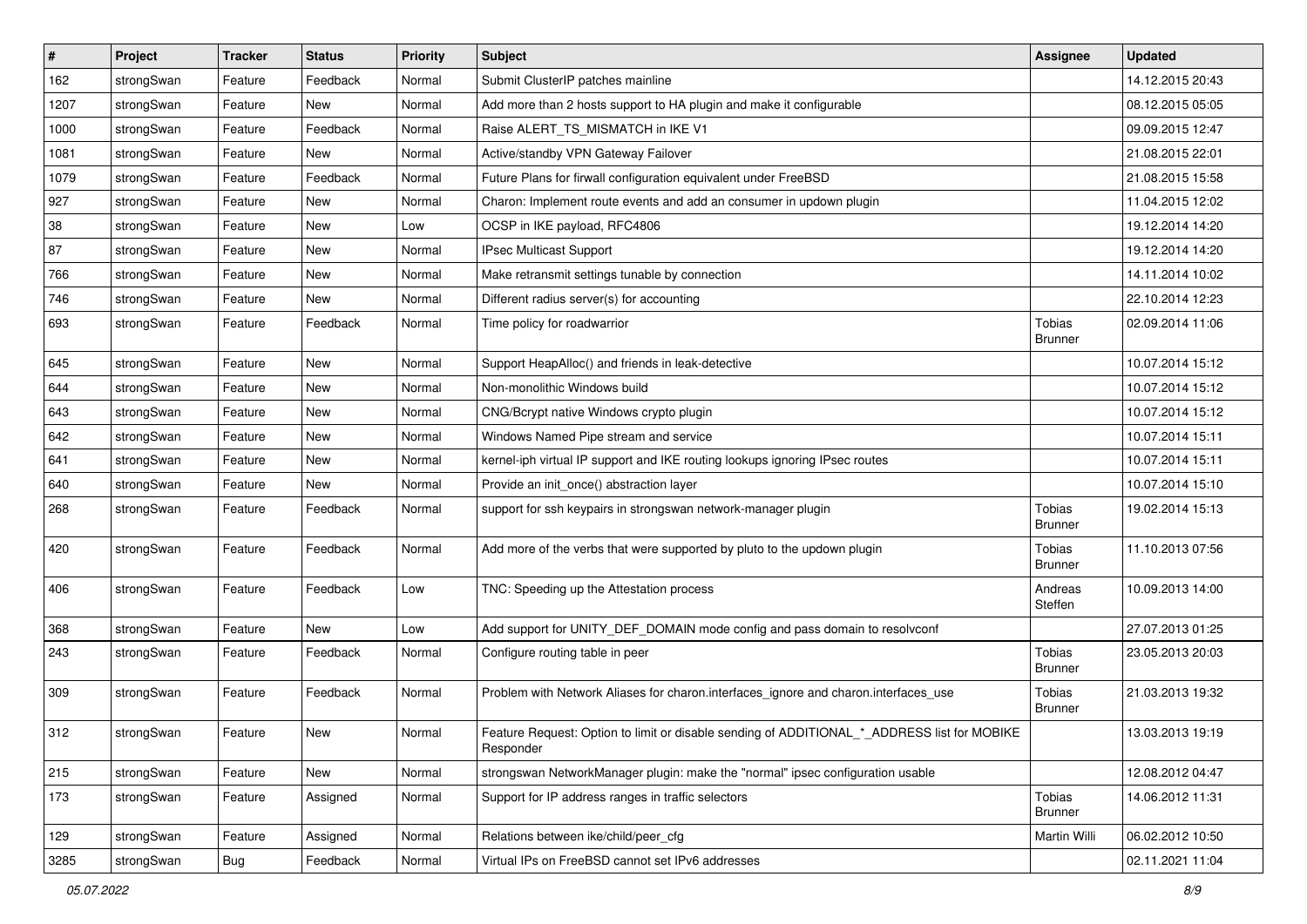| $\vert$ # | Project    | <b>Tracker</b> | <b>Status</b> | <b>Priority</b> | Subject                                                                                                  | <b>Assignee</b>                 | <b>Updated</b>   |
|-----------|------------|----------------|---------------|-----------------|----------------------------------------------------------------------------------------------------------|---------------------------------|------------------|
| 162       | strongSwan | Feature        | Feedback      | Normal          | Submit ClusterIP patches mainline                                                                        |                                 | 14.12.2015 20:43 |
| 1207      | strongSwan | Feature        | New           | Normal          | Add more than 2 hosts support to HA plugin and make it configurable                                      |                                 | 08.12.2015 05:05 |
| 1000      | strongSwan | Feature        | Feedback      | Normal          | Raise ALERT TS MISMATCH in IKE V1                                                                        |                                 | 09.09.2015 12:47 |
| 1081      | strongSwan | Feature        | New           | Normal          | Active/standby VPN Gateway Failover                                                                      |                                 | 21.08.2015 22:01 |
| 1079      | strongSwan | Feature        | Feedback      | Normal          | Future Plans for firwall configuration equivalent under FreeBSD                                          |                                 | 21.08.2015 15:58 |
| 927       | strongSwan | Feature        | New           | Normal          | Charon: Implement route events and add an consumer in updown plugin                                      |                                 | 11.04.2015 12:02 |
| 38        | strongSwan | Feature        | New           | Low             | OCSP in IKE payload, RFC4806                                                                             |                                 | 19.12.2014 14:20 |
| 87        | strongSwan | Feature        | New           | Normal          | IPsec Multicast Support                                                                                  |                                 | 19.12.2014 14:20 |
| 766       | strongSwan | Feature        | New           | Normal          | Make retransmit settings tunable by connection                                                           |                                 | 14.11.2014 10:02 |
| 746       | strongSwan | Feature        | New           | Normal          | Different radius server(s) for accounting                                                                |                                 | 22.10.2014 12:23 |
| 693       | strongSwan | Feature        | Feedback      | Normal          | Time policy for roadwarrior                                                                              | Tobias<br><b>Brunner</b>        | 02.09.2014 11:06 |
| 645       | strongSwan | Feature        | <b>New</b>    | Normal          | Support HeapAlloc() and friends in leak-detective                                                        |                                 | 10.07.2014 15:12 |
| 644       | strongSwan | Feature        | New           | Normal          | Non-monolithic Windows build                                                                             |                                 | 10.07.2014 15:12 |
| 643       | strongSwan | Feature        | New           | Normal          | CNG/Bcrypt native Windows crypto plugin                                                                  |                                 | 10.07.2014 15:12 |
| 642       | strongSwan | Feature        | New           | Normal          | Windows Named Pipe stream and service                                                                    |                                 | 10.07.2014 15:11 |
| 641       | strongSwan | Feature        | New           | Normal          | kernel-iph virtual IP support and IKE routing lookups ignoring IPsec routes                              |                                 | 10.07.2014 15:11 |
| 640       | strongSwan | Feature        | New           | Normal          | Provide an init_once() abstraction layer                                                                 |                                 | 10.07.2014 15:10 |
| 268       | strongSwan | Feature        | Feedback      | Normal          | support for ssh keypairs in strongswan network-manager plugin                                            | <b>Tobias</b><br><b>Brunner</b> | 19.02.2014 15:13 |
| 420       | strongSwan | Feature        | Feedback      | Normal          | Add more of the verbs that were supported by pluto to the updown plugin                                  | <b>Tobias</b><br><b>Brunner</b> | 11.10.2013 07:56 |
| 406       | strongSwan | Feature        | Feedback      | Low             | TNC: Speeding up the Attestation process                                                                 | Andreas<br>Steffen              | 10.09.2013 14:00 |
| 368       | strongSwan | Feature        | New           | Low             | Add support for UNITY_DEF_DOMAIN mode config and pass domain to resolvconf                               |                                 | 27.07.2013 01:25 |
| 243       | strongSwan | Feature        | Feedback      | Normal          | Configure routing table in peer                                                                          | <b>Tobias</b><br><b>Brunner</b> | 23.05.2013 20:03 |
| 309       | strongSwan | Feature        | Feedback      | Normal          | Problem with Network Aliases for charon.interfaces_ignore and charon.interfaces_use                      | Tobias<br><b>Brunner</b>        | 21.03.2013 19:32 |
| 312       | strongSwan | Feature        | New           | Normal          | Feature Request: Option to limit or disable sending of ADDITIONAL_*_ADDRESS list for MOBIKE<br>Responder |                                 | 13.03.2013 19:19 |
| 215       | strongSwan | Feature        | New           | Normal          | strongswan NetworkManager plugin: make the "normal" ipsec configuration usable                           |                                 | 12.08.2012 04:47 |
| 173       | strongSwan | Feature        | Assigned      | Normal          | Support for IP address ranges in traffic selectors                                                       | Tobias<br><b>Brunner</b>        | 14.06.2012 11:31 |
| 129       | strongSwan | Feature        | Assigned      | Normal          | Relations between ike/child/peer_cfg                                                                     | Martin Willi                    | 06.02.2012 10:50 |
| 3285      | strongSwan | Bug            | Feedback      | Normal          | Virtual IPs on FreeBSD cannot set IPv6 addresses                                                         |                                 | 02.11.2021 11:04 |